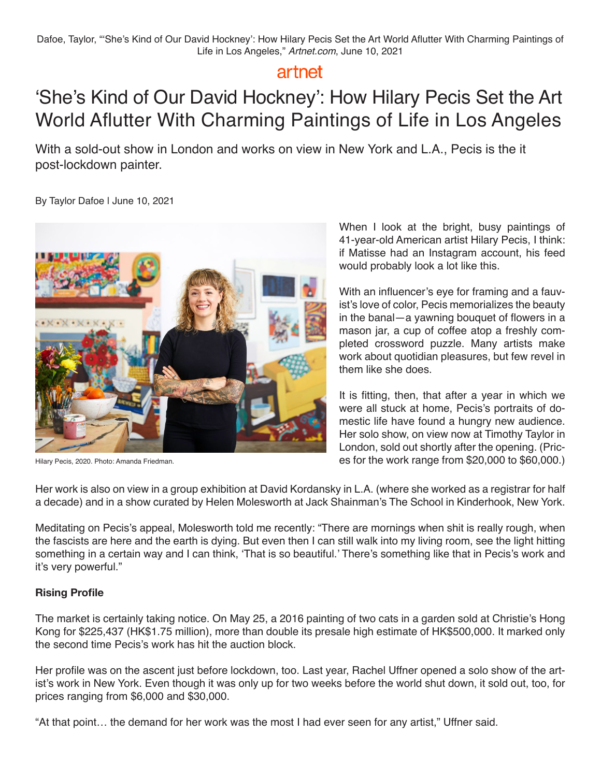## artnet

# 'She's Kind of Our David Hockney': How Hilary Pecis Set the Art World Aflutter With Charming Paintings of Life in Los Angeles

With a sold-out show in London and works on view in New York and L.A., Pecis is the it post-lockdown painter.

By Taylor Dafoe | June 10, 2021



Hilary Pecis, 2020. Photo: Amanda Friedman.

When I look at the bright, busy paintings of 41-year-old American artist Hilary Pecis, I think: if Matisse had an Instagram account, his feed would probably look a lot like this.

With an influencer's eye for framing and a fauvist's love of color, Pecis memorializes the beauty in the banal—a yawning bouquet of flowers in a mason jar, a cup of coffee atop a freshly completed crossword puzzle. Many artists make work about quotidian pleasures, but few revel in them like she does.

It is fitting, then, that after a year in which we were all stuck at home, Pecis's portraits of domestic life have found a hungry new audience. Her solo show, on view now at Timothy Taylor in London, sold out shortly after the opening. (Prices for the work range from \$20,000 to \$60,000.)

Her work is also on view in a group exhibition at David Kordansky in L.A. (where she worked as a registrar for half a decade) and in a show curated by Helen Molesworth at Jack Shainman's The School in Kinderhook, New York.

Meditating on Pecis's appeal, Molesworth told me recently: "There are mornings when shit is really rough, when the fascists are here and the earth is dying. But even then I can still walk into my living room, see the light hitting something in a certain way and I can think, 'That is so beautiful.' There's something like that in Pecis's work and it's very powerful."

### **Rising Profile**

The market is certainly taking notice. On May 25, a 2016 painting of two cats in a garden sold at Christie's Hong Kong for \$225,437 (HK\$1.75 million), more than double its presale high estimate of HK\$500,000. It marked only the second time Pecis's work has hit the auction block.

Her profile was on the ascent just before lockdown, too. Last year, Rachel Uffner opened a solo show of the artist's work in New York. Even though it was only up for two weeks before the world shut down, it sold out, too, for prices ranging from \$6,000 and \$30,000.

"At that point… the demand for her work was the most I had ever seen for any artist," Uffner said.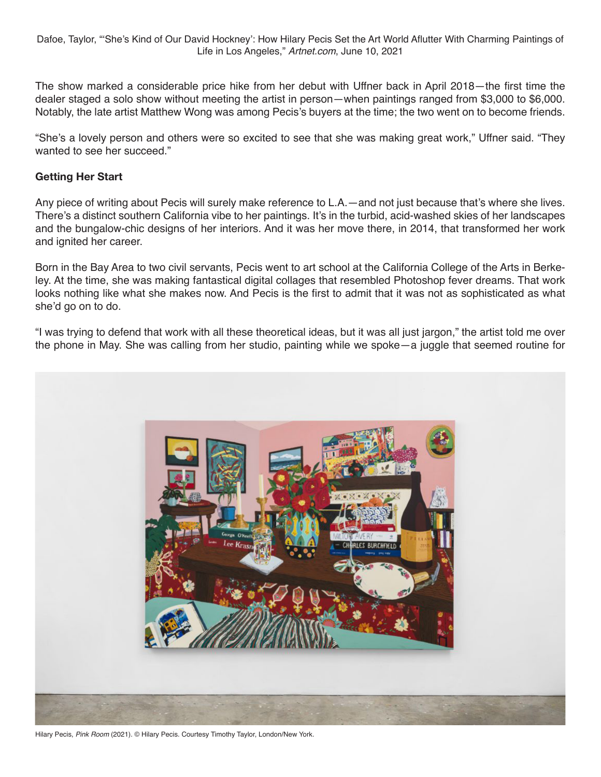Dafoe, Taylor, "'She's Kind of Our David Hockney': How Hilary Pecis Set the Art World Aflutter With Charming Paintings of Life in Los Angeles," *Artnet.com*, June 10, 2021

The show marked a considerable price hike from her debut with Uffner back in April 2018—the first time the dealer staged a solo show without meeting the artist in person—when paintings ranged from \$3,000 to \$6,000. Notably, the late artist Matthew Wong was among Pecis's buyers at the time; the two went on to become friends.

"She's a lovely person and others were so excited to see that she was making great work," Uffner said. "They wanted to see her succeed."

#### **Getting Her Start**

Any piece of writing about Pecis will surely make reference to L.A.—and not just because that's where she lives. There's a distinct southern California vibe to her paintings. It's in the turbid, acid-washed skies of her landscapes and the bungalow-chic designs of her interiors. And it was her move there, in 2014, that transformed her work and ignited her career.

Born in the Bay Area to two civil servants, Pecis went to art school at the California College of the Arts in Berkeley. At the time, she was making fantastical digital collages that resembled Photoshop fever dreams. That work looks nothing like what she makes now. And Pecis is the first to admit that it was not as sophisticated as what she'd go on to do.

"I was trying to defend that work with all these theoretical ideas, but it was all just jargon," the artist told me over the phone in May. She was calling from her studio, painting while we spoke—a juggle that seemed routine for



Hilary Pecis, *Pink Room* (2021). © Hilary Pecis. Courtesy Timothy Taylor, London/New York.